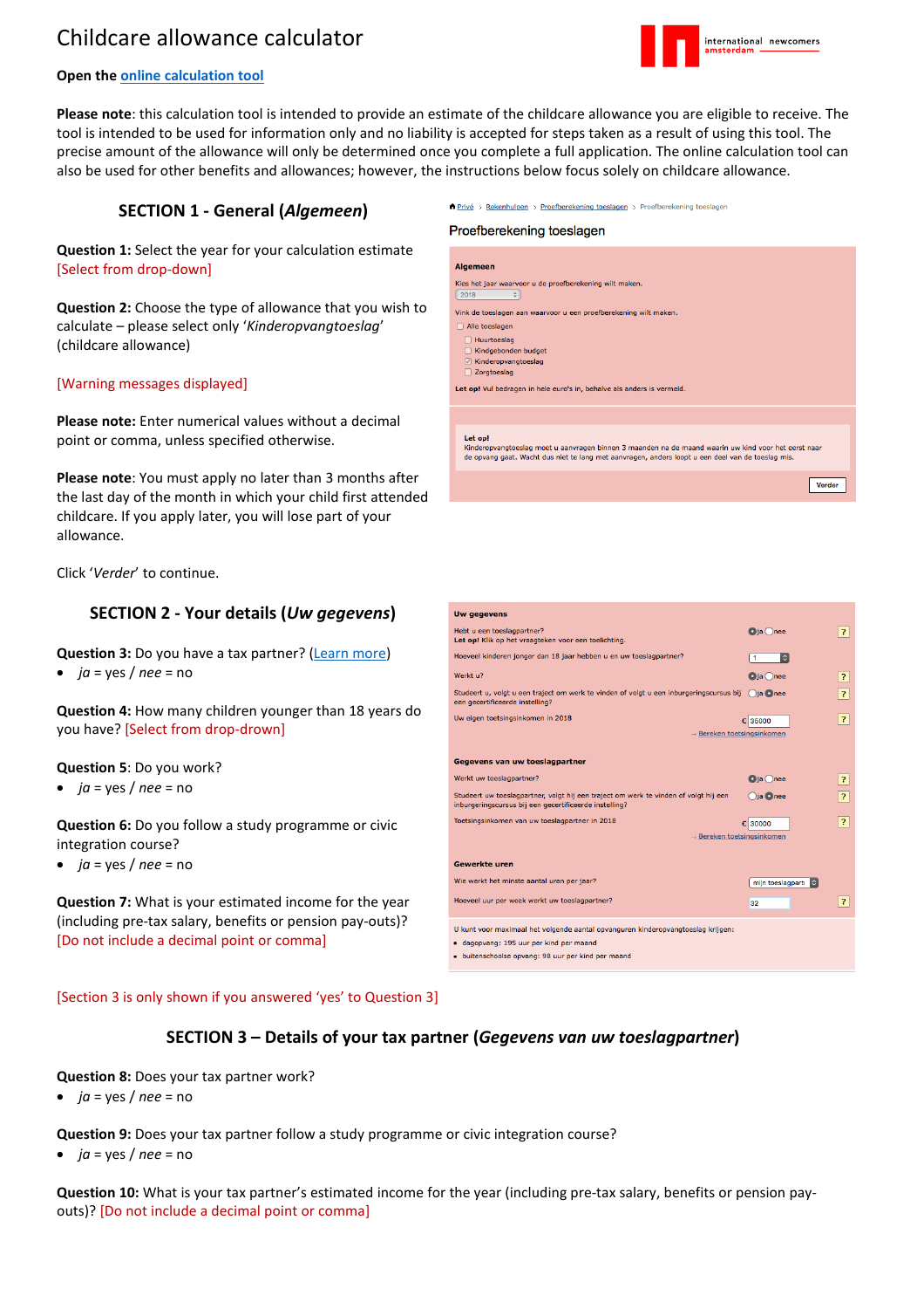# Childcare allowance calculator



## **Open the online [calculation](https://www.belastingdienst.nl/rekenhulpen/toeslagen/) tool**

**Please note**: this calculation tool is intended to provide an estimate of the childcare allowance you are eligible to receive. The tool is intended to be used for information only and no liability is accepted for steps taken as a result of using this tool. The precise amount of the allowance will only be determined once you complete a full application. The online calculation tool can also be used for other benefits and allowances; however, the instructions below focus solely on childcare allowance.

## **SECTION 1 - General (***Algemeen***)**

**Question 1:** Select the year for your calculation estimate [Select from drop-down]

**Question 2:** Choose the type of allowance that you wish to calculate – please select only '*Kinderopvangtoeslag*' (childcare allowance)

## [Warning messages displayed]

**Please note:** Enter numerical values without a decimal point or comma, unless specified otherwise.

**Please note**: You must apply no later than 3 months after the last day of the month in which your child first attended childcare. If you apply later, you will lose part of your allowance.

Click '*Verder*' to continue.

### **SECTION 2 - Your details (***Uw gegevens***)**

**Question 3:** Do you have a tax partner? [\(Learn](https://www.belastingdienst.nl/wps/wcm/connect/bldcontenten/belastingdienst/individuals/other_subjects/tax_partnership/tax_partners/) more)

• *ja* = yes / *nee* = no

**Question 4:** How many children younger than 18 years do you have? [Select from drop-drown]

**Question 5**: Do you work?

• *ja* = yes / *nee* = no

**Question 6:** Do you follow a study programme or civic integration course?

• *ja* = yes / *nee* = no

**Question 7:** What is your estimated income for the year (including pre-tax salary, benefits or pension pay-outs)? [Do not include a decimal point or comma]

 $\hat{\mathsf{n}}$  Privé > Rekenhulpen > Proefberekening toeslagen > Proefberekening toeslagen

#### Proefberekening toeslagen

| <b>Algemeen</b>                                                                                                                                                                                           |
|-----------------------------------------------------------------------------------------------------------------------------------------------------------------------------------------------------------|
| Kies het jaar waarvoor u de proefberekening wilt maken.                                                                                                                                                   |
| 2018<br>$\div$                                                                                                                                                                                            |
| Vink de toeslagen aan waarvoor u een proefberekening wilt maken.                                                                                                                                          |
| Alle toeslagen                                                                                                                                                                                            |
| Huurtoeslag                                                                                                                                                                                               |
| Kindgebonden budget                                                                                                                                                                                       |
| Kinderopvangtoeslag<br>$\sqrt{ }$                                                                                                                                                                         |
| Zorgtoeslag                                                                                                                                                                                               |
| Let op! Vul bedragen in hele euro's in, behalve als anders is vermeld.                                                                                                                                    |
|                                                                                                                                                                                                           |
|                                                                                                                                                                                                           |
|                                                                                                                                                                                                           |
| Let op!                                                                                                                                                                                                   |
| Kinderopvangtoeslag moet u aanvragen binnen 3 maanden na de maand waarin uw kind voor het eerst naar<br>de opvang gaat. Wacht dus niet te lang met aanvragen, anders loopt u een deel van de toeslag mis. |
|                                                                                                                                                                                                           |
| Verder                                                                                                                                                                                                    |



#### [Section 3 is only shown if you answered 'yes' to Question 3]

## **SECTION 3 – Details of your tax partner (***Gegevens van uw toeslagpartner***)**

**Question 8:** Does your tax partner work?

•  $ja = yes / nee = no$ 

**Question 9:** Does your tax partner follow a study programme or civic integration course?

• *ja* = yes / *nee* = no

**Question 10:** What is your tax partner's estimated income for the year (including pre-tax salary, benefits or pension payouts)? [Do not include a decimal point or comma]